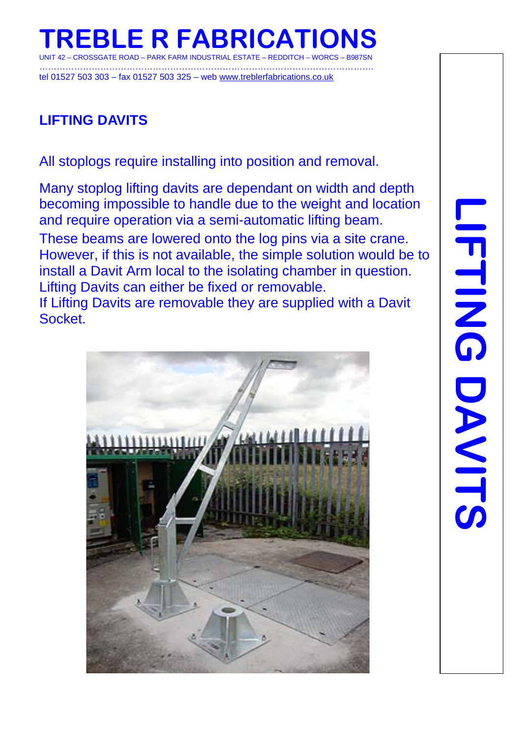# **TREBLE R FABRICATIONS**

CROSSGATE ROAD – PARK FARM INDUSTRIAL ESTATE – REDDITCH – WORCS – B987SN

……………………………………………………………………………………………………. tel 01527 503 303 – fax 01527 503 325 – web [www.treblerfabrications.co.uk](http://www.treblerfabrications.co.uk/)

## **LIFTING DAVITS**

All stoplogs require installing into position and removal.

Many stoplog lifting davits are dependant on width and depth becoming impossible to handle due to the weight and location and require operation via a semi-automatic lifting beam.

These beams are lowered onto the log pins via a site crane. However, if this is not available, the simple solution would be to install a Davit Arm local to the isolating chamber in question. Lifting Davits can either be fixed or removable.

If Lifting Davits are removable they are supplied with a Davit Socket.

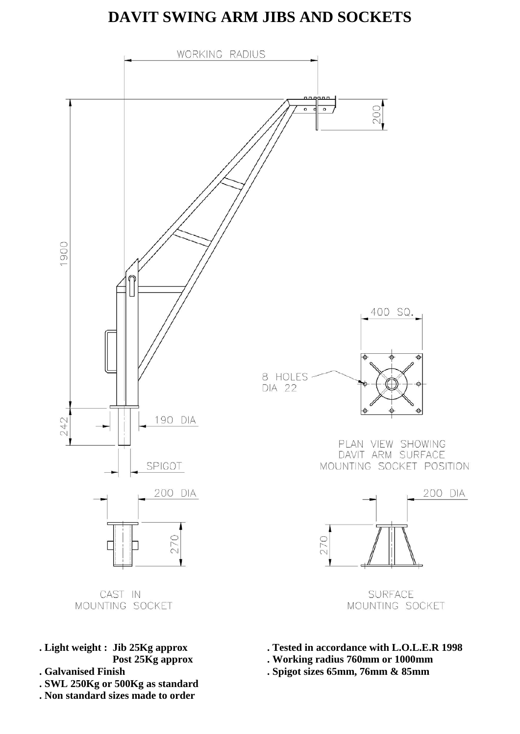#### **DAVIT SWING ARM JIBS AND SOCKETS**



- **. Light weight : Jib 25Kg approx . Tested in accordance with L.O.L.E.R 1998**
- 
- **. SWL 250Kg or 500Kg as standard**
- **. Non standard sizes made to order**
- **Post 25Kg approx . Working radius 760mm or 1000mm**
- **. Galvanised Finish . Spigot sizes 65mm, 76mm & 85mm**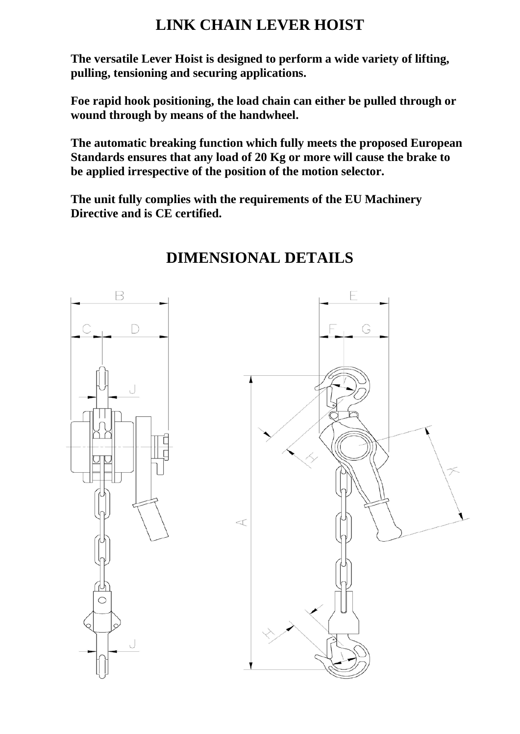#### **LINK CHAIN LEVER HOIST**

**The versatile Lever Hoist is designed to perform a wide variety of lifting, pulling, tensioning and securing applications.**

**Foe rapid hook positioning, the load chain can either be pulled through or wound through by means of the handwheel.**

**The automatic breaking function which fully meets the proposed European Standards ensures that any load of 20 Kg or more will cause the brake to be applied irrespective of the position of the motion selector.**

**The unit fully complies with the requirements of the EU Machinery Directive and is CE certified.**



## **DIMENSIONAL DETAILS**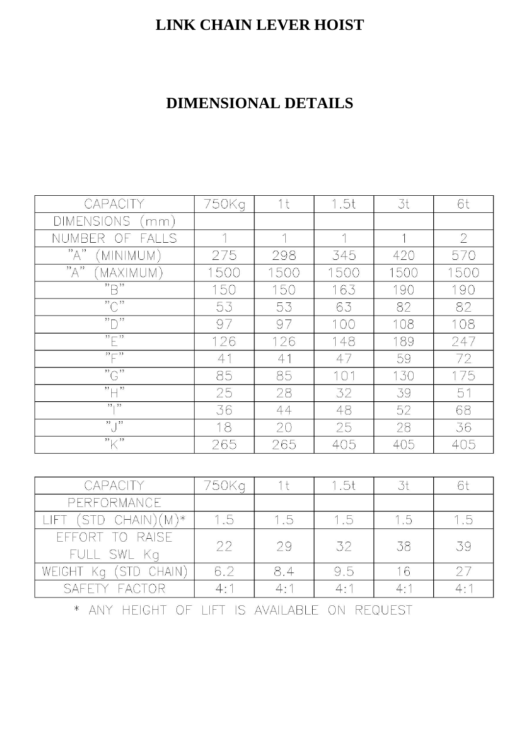### **LINK CHAIN LEVER HOIST**

# **DIMENSIONAL DETAILS**

| CAPACITY                                     | 750Kg | 1 t  | 1.5t       | 3t                       | 6t             |
|----------------------------------------------|-------|------|------------|--------------------------|----------------|
| <b>DIMENSIONS</b><br>mm)                     |       |      |            |                          |                |
| <b>NUMBE</b><br><b>FALLS</b><br>₹<br>OF      |       | 1    | $\uparrow$ | $\overline{\phantom{a}}$ | $\overline{2}$ |
| "A"<br>MINIMUM)                              | 275   | 298  | 345        | 420                      | 570            |
| "A"<br>MAXIMUM)                              | 1500  | 1500 | 1500       | 1500                     | 1500           |
| $"\ominus"$                                  | 150   | 150  | 163        | 190                      | 190            |
| $\overline{C}$                               | 53    | 53   | 63         | 82                       | 82             |
| "                                            | 97    | 97   | 100        | 108                      | 108            |
| $\overline{H}$                               | 126   | 126  | 148        | 189                      | 247            |
| $\sum_{i=1}^{n}$                             | 41    | 41   | 47         | 59                       | 72             |
| $\overline{C}$                               | 85    | 85   | 101        | 130                      | 175            |
| $"$ $\Box$ <sup>22</sup>                     | 25    | 28   | 32         | 39                       | 51             |
| 13   13                                      | 36    | 44   | 48         | 52                       | 68             |
| $\overline{\bigcup_{\lambda}}$               | 18    | 20   | 25         | 28                       | 36             |
| $"\mathsf{K}"$                               | 265   | 265  | 405        | 405                      | 405            |
|                                              |       |      |            |                          |                |
| CAPACITY                                     | 750Kg | 1 t  | 1.5t       | 3t                       | 6t             |
| PERFORMANCE                                  |       |      |            |                          |                |
| S<br>CHAIN)<br>$(M)^*$<br>JF                 | 1.5   | 1.5  | 1.5        | 1.5                      | 1.5            |
| <b>RAISE</b><br>FF<br>Fl<br>Kg<br><b>SWL</b> | 22    | 29   | 32         | 38                       | 39             |
| CHAIN)<br>WEIGHT<br>'ST<br>Kg<br>TD.         | 6.2   | 8.4  | 9.5        | 16                       | 27             |
| <b>SAFETY</b><br><b>FACTOR</b>               | 4:1   | 4:1  | 4:1        | 4:1                      | 4:1            |

\* ANY HEIGHT OF LIFT IS AVAILABLE ON REQUEST